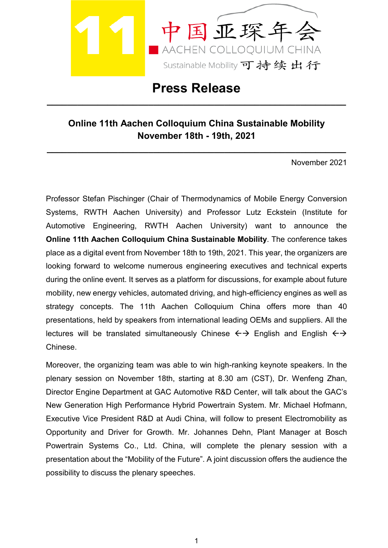

**Press Release**

**\_\_\_\_\_\_\_\_\_\_\_\_\_\_\_\_\_\_\_\_\_\_\_\_\_\_\_\_\_\_\_\_\_\_\_\_\_\_\_\_\_\_\_\_\_\_\_\_\_\_\_\_\_\_\_\_\_\_\_**

## **Online 11th Aachen Colloquium China Sustainable Mobility November 18th - 19th, 2021**

**\_\_\_\_\_\_\_\_\_\_\_\_\_\_\_\_\_\_\_\_\_\_\_\_\_\_\_\_\_\_\_\_\_\_\_\_\_\_\_\_\_\_\_\_\_\_\_\_\_\_\_\_\_\_\_\_\_\_\_**

November 2021

Professor Stefan Pischinger (Chair of Thermodynamics of Mobile Energy Conversion Systems, RWTH Aachen University) and Professor Lutz Eckstein (Institute for Automotive Engineering, RWTH Aachen University) want to announce the **Online 11th Aachen Colloquium China Sustainable Mobility**. The conference takes place as a digital event from November 18th to 19th, 2021. This year, the organizers are looking forward to welcome numerous engineering executives and technical experts during the online event. It serves as a platform for discussions, for example about future mobility, new energy vehicles, automated driving, and high-efficiency engines as well as strategy concepts. The 11th Aachen Colloquium China offers more than 40 presentations, held by speakers from international leading OEMs and suppliers. All the lectures will be translated simultaneously Chinese  $\leftrightarrow$  English and English  $\leftrightarrow$ Chinese.

Moreover, the organizing team was able to win high-ranking keynote speakers. In the plenary session on November 18th, starting at 8.30 am (CST), Dr. Wenfeng Zhan, Director Engine Department at GAC Automotive R&D Center, will talk about the GAC's New Generation High Performance Hybrid Powertrain System. Mr. Michael Hofmann, Executive Vice President R&D at Audi China, will follow to present Electromobility as Opportunity and Driver for Growth. Mr. Johannes Dehn, Plant Manager at Bosch Powertrain Systems Co., Ltd. China, will complete the plenary session with a presentation about the "Mobility of the Future". A joint discussion offers the audience the possibility to discuss the plenary speeches.